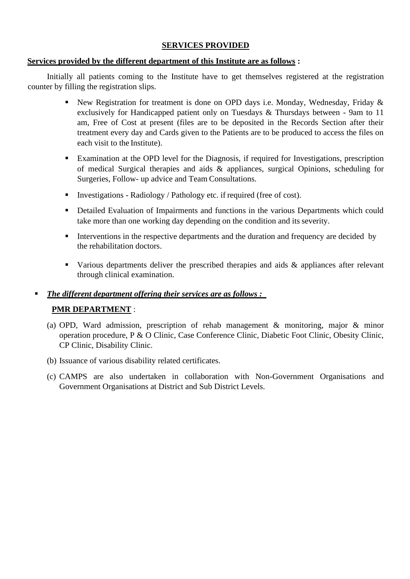### **SERVICES PROVIDED**

#### **Services provided by the different department of this Institute are as follows :**

Initially all patients coming to the Institute have to get themselves registered at the registration counter by filling the registration slips.

- **E** New Registration for treatment is done on OPD days i.e. Monday, Wednesday, Friday  $\&$ exclusively for Handicapped patient only on Tuesdays & Thursdays between - 9am to 11 am, Free of Cost at present (files are to be deposited in the Records Section after their treatment every day and Cards given to the Patients are to be produced to access the files on each visit to the Institute).
- Examination at the OPD level for the Diagnosis, if required for Investigations, prescription of medical Surgical therapies and aids & appliances, surgical Opinions, scheduling for Surgeries, Follow- up advice and Team Consultations.
- Investigations Radiology / Pathology etc. if required (free of cost).
- Detailed Evaluation of Impairments and functions in the various Departments which could take more than one working day depending on the condition and its severity.
- **EXECUTE:** Interventions in the respective departments and the duration and frequency are decided by the rehabilitation doctors.
- Various departments deliver the prescribed therapies and aids & appliances after relevant through clinical examination.

### ▪ *The different department offering their services are as follows :*

### **PMR DEPARTMENT** :

- (a) OPD, Ward admission, prescription of rehab management & monitoring, major & minor operation procedure, P & O Clinic, Case Conference Clinic, Diabetic Foot Clinic, Obesity Clinic, CP Clinic, Disability Clinic.
- (b) Issuance of various disability related certificates.
- (c) CAMPS are also undertaken in collaboration with Non-Government Organisations and Government Organisations at District and Sub District Levels.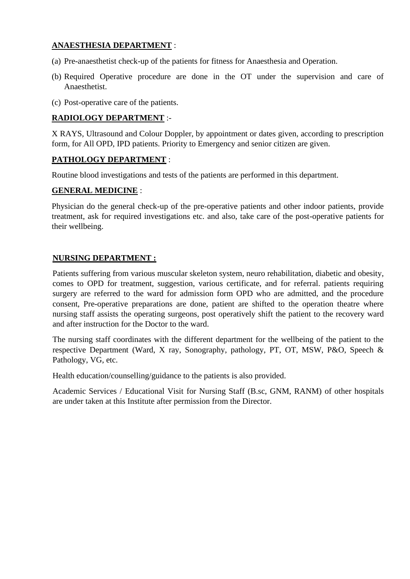### **ANAESTHESIA DEPARTMENT** :

- (a) Pre-anaesthetist check-up of the patients for fitness for Anaesthesia and Operation.
- (b) Required Operative procedure are done in the OT under the supervision and care of Anaesthetist.
- (c) Post-operative care of the patients.

### **RADIOLOGY DEPARTMENT** :-

X RAYS, Ultrasound and Colour Doppler, by appointment or dates given, according to prescription form, for All OPD, IPD patients. Priority to Emergency and senior citizen are given.

### **PATHOLOGY DEPARTMENT** :

Routine blood investigations and tests of the patients are performed in this department.

### **GENERAL MEDICINE** :

Physician do the general check-up of the pre-operative patients and other indoor patients, provide treatment, ask for required investigations etc. and also, take care of the post-operative patients for their wellbeing.

#### **NURSING DEPARTMENT :**

Patients suffering from various muscular skeleton system, neuro rehabilitation, diabetic and obesity, comes to OPD for treatment, suggestion, various certificate, and for referral. patients requiring surgery are referred to the ward for admission form OPD who are admitted, and the procedure consent, Pre-operative preparations are done, patient are shifted to the operation theatre where nursing staff assists the operating surgeons, post operatively shift the patient to the recovery ward and after instruction for the Doctor to the ward.

The nursing staff coordinates with the different department for the wellbeing of the patient to the respective Department (Ward, X ray, Sonography, pathology, PT, OT, MSW, P&O, Speech & Pathology, VG, etc.

Health education/counselling/guidance to the patients is also provided.

Academic Services / Educational Visit for Nursing Staff (B.sc, GNM, RANM) of other hospitals are under taken at this Institute after permission from the Director.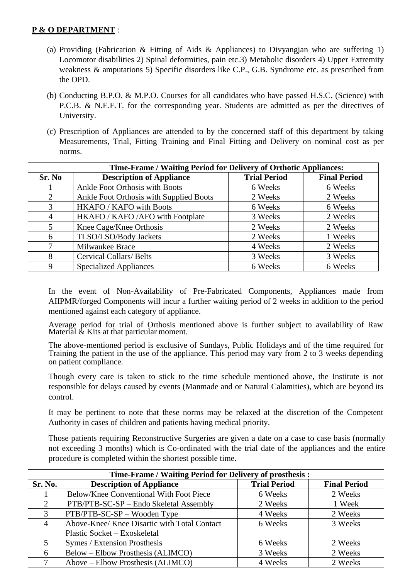### **P & O DEPARTMENT** :

- (a) Providing (Fabrication & Fitting of Aids & Appliances) to Divyangian who are suffering 1) Locomotor disabilities 2) Spinal deformities, pain etc.3) Metabolic disorders 4) Upper Extremity weakness & amputations 5) Specific disorders like C.P., G.B. Syndrome etc. as prescribed from the OPD.
- (b) Conducting B.P.O. & M.P.O. Courses for all candidates who have passed H.S.C. (Science) with P.C.B. & N.E.E.T. for the corresponding year. Students are admitted as per the directives of University.
- (c) Prescription of Appliances are attended to by the concerned staff of this department by taking Measurements, Trial, Fitting Training and Final Fitting and Delivery on nominal cost as per norms.

| Time-Frame / Waiting Period for Delivery of Orthotic Appliances: |                                         |                     |                     |  |
|------------------------------------------------------------------|-----------------------------------------|---------------------|---------------------|--|
| Sr. No                                                           | <b>Description of Appliance</b>         | <b>Trial Period</b> | <b>Final Period</b> |  |
|                                                                  | <b>Ankle Foot Orthosis with Boots</b>   | 6 Weeks             | 6 Weeks             |  |
| 2                                                                | Ankle Foot Orthosis with Supplied Boots | 2 Weeks             | 2 Weeks             |  |
| 3                                                                | HKAFO / KAFO with Boots                 | 6 Weeks             | 6 Weeks             |  |
| $\overline{4}$                                                   | HKAFO / KAFO / AFO with Footplate       | 3 Weeks             | 2 Weeks             |  |
| 5                                                                | Knee Cage/Knee Orthosis                 | 2 Weeks             | 2 Weeks             |  |
| 6                                                                | TLSO/LSO/Body Jackets                   | 2 Weeks             | 1 Weeks             |  |
|                                                                  | Milwaukee Brace                         | 4 Weeks             | 2 Weeks             |  |
| 8                                                                | <b>Cervical Collars/Belts</b>           | 3 Weeks             | 3 Weeks             |  |
| 9                                                                | <b>Specialized Appliances</b>           | 6 Weeks             | 6 Weeks             |  |

In the event of Non-Availability of Pre-Fabricated Components, Appliances made from AIIPMR/forged Components will incur a further waiting period of 2 weeks in addition to the period mentioned against each category of appliance.

Average period for trial of Orthosis mentioned above is further subject to availability of Raw Material & Kits at that particular moment.

The above-mentioned period is exclusive of Sundays, Public Holidays and of the time required for Training the patient in the use of the appliance. This period may vary from 2 to 3 weeks depending on patient compliance.

Though every care is taken to stick to the time schedule mentioned above, the Institute is not responsible for delays caused by events (Manmade and or Natural Calamities), which are beyond its control.

It may be pertinent to note that these norms may be relaxed at the discretion of the Competent Authority in cases of children and patients having medical priority.

Those patients requiring Reconstructive Surgeries are given a date on a case to case basis (normally not exceeding 3 months) which is Co-ordinated with the trial date of the appliances and the entire procedure is completed within the shortest possible time.

| <b>Time-Frame / Waiting Period for Delivery of prosthesis:</b> |                                              |                     |                     |  |
|----------------------------------------------------------------|----------------------------------------------|---------------------|---------------------|--|
| Sr. No.                                                        | <b>Description of Appliance</b>              | <b>Trial Period</b> | <b>Final Period</b> |  |
|                                                                | Below/Knee Conventional With Foot Piece      | 6 Weeks             | 2 Weeks             |  |
| $\mathcal{D}_{\mathcal{L}}$                                    | PTB/PTB-SC-SP – Endo Skeletal Assembly       | 2 Weeks             | 1 Week              |  |
| 3                                                              | PTB/PTB-SC-SP - Wooden Type                  | 4 Weeks             | 2 Weeks             |  |
| 4                                                              | Above-Knee/ Knee Disartic with Total Contact | 6 Weeks             | 3 Weeks             |  |
|                                                                | Plastic Socket - Exoskeletal                 |                     |                     |  |
|                                                                | Symes / Extension Prosthesis                 | 6 Weeks             | 2 Weeks             |  |
| 6                                                              | <b>Below – Elbow Prosthesis (ALIMCO)</b>     | 3 Weeks             | 2 Weeks             |  |
| 7                                                              | Above – Elbow Prosthesis (ALIMCO)            | 4 Weeks             | 2 Weeks             |  |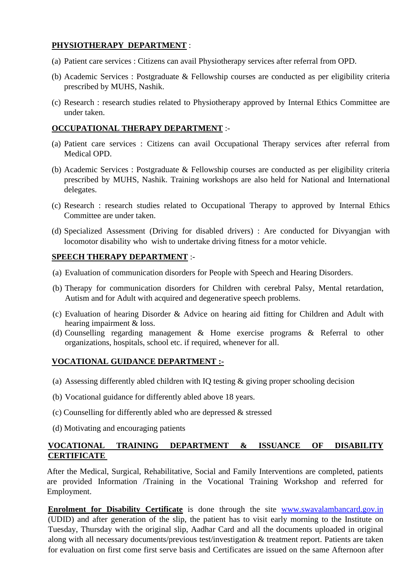### **PHYSIOTHERAPY DEPARTMENT** :

- (a) Patient care services : Citizens can avail Physiotherapy services after referral from OPD.
- (b) Academic Services : Postgraduate & Fellowship courses are conducted as per eligibility criteria prescribed by MUHS, Nashik.
- (c) Research : research studies related to Physiotherapy approved by Internal Ethics Committee are under taken.

### **OCCUPATIONAL THERAPY DEPARTMENT** :-

- (a) Patient care services : Citizens can avail Occupational Therapy services after referral from Medical OPD.
- (b) Academic Services : Postgraduate & Fellowship courses are conducted as per eligibility criteria prescribed by MUHS, Nashik. Training workshops are also held for National and International delegates.
- (c) Research : research studies related to Occupational Therapy to approved by Internal Ethics Committee are under taken.
- (d) Specialized Assessment (Driving for disabled drivers) : Are conducted for Divyangjan with locomotor disability who wish to undertake driving fitness for a motor vehicle.

### **SPEECH THERAPY DEPARTMENT** :-

- (a) Evaluation of communication disorders for People with Speech and Hearing Disorders.
- (b) Therapy for communication disorders for Children with cerebral Palsy, Mental retardation, Autism and for Adult with acquired and degenerative speech problems.
- (c) Evaluation of hearing Disorder & Advice on hearing aid fitting for Children and Adult with hearing impairment & loss.
- (d) Counselling regarding management & Home exercise programs & Referral to other organizations, hospitals, school etc. if required, whenever for all.

### **VOCATIONAL GUIDANCE DEPARTMENT :-**

- (a) Assessing differently abled children with IQ testing & giving proper schooling decision
- (b) Vocational guidance for differently abled above 18 years.
- (c) Counselling for differently abled who are depressed & stressed
- (d) Motivating and encouraging patients

### **VOCATIONAL TRAINING DEPARTMENT & ISSUANCE OF DISABILITY CERTIFICATE**

After the Medical, Surgical, Rehabilitative, Social and Family Interventions are completed, patients are provided Information /Training in the Vocational Training Workshop and referred for Employment.

**Enrolment for Disability Certificate** is done through the site [www.swavalambancard.gov.in](http://www.swavalambancard.gov.in/) (UDID) and after generation of the slip, the patient has to visit early morning to the Institute on Tuesday, Thursday with the original slip, Aadhar Card and all the documents uploaded in original along with all necessary documents/previous test/investigation & treatment report. Patients are taken for evaluation on first come first serve basis and Certificates are issued on the same Afternoon after